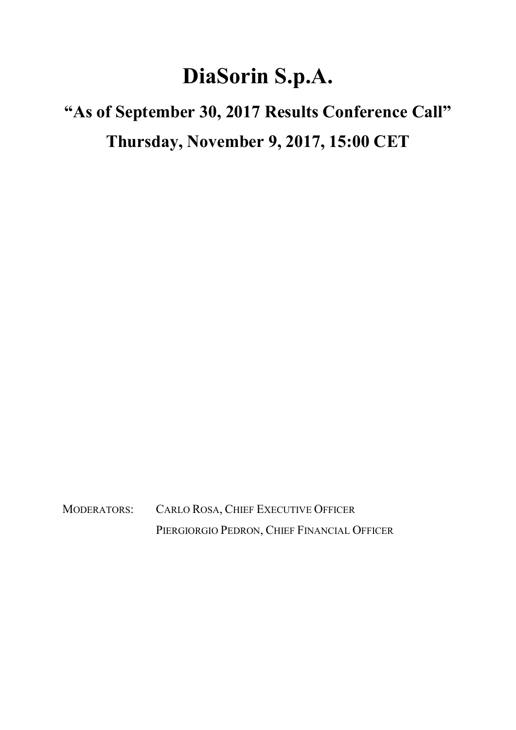## DiaSorin S.p.A.

## "As of September 30, 2017 Results Conference Call" Thursday, November 9, 2017, 15:00 CET

MODERATORS: CARLO ROSA, CHIEF EXECUTIVE OFFICER PIERGIORGIO PEDRON, CHIEF FINANCIAL OFFICER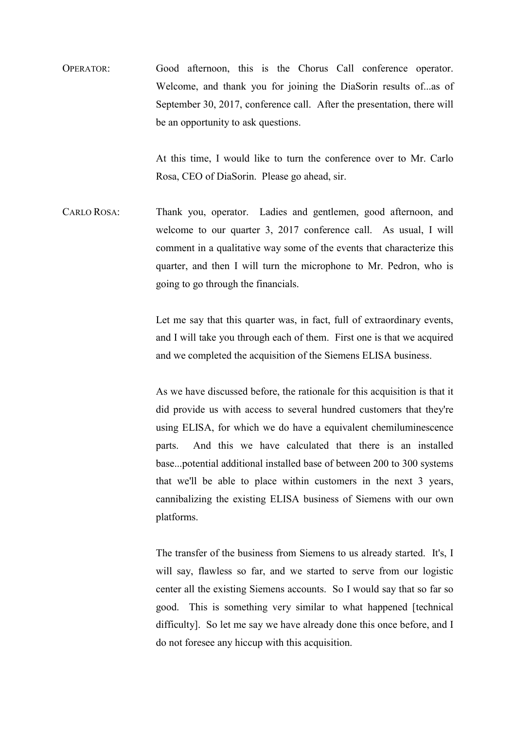OPERATOR: Good afternoon, this is the Chorus Call conference operator. Welcome, and thank you for joining the DiaSorin results of...as of September 30, 2017, conference call. After the presentation, there will be an opportunity to ask questions.

> At this time, I would like to turn the conference over to Mr. Carlo Rosa, CEO of DiaSorin. Please go ahead, sir.

CARLO ROSA: Thank you, operator. Ladies and gentlemen, good afternoon, and welcome to our quarter 3, 2017 conference call. As usual, I will comment in a qualitative way some of the events that characterize this quarter, and then I will turn the microphone to Mr. Pedron, who is going to go through the financials.

> Let me say that this quarter was, in fact, full of extraordinary events, and I will take you through each of them. First one is that we acquired and we completed the acquisition of the Siemens ELISA business.

> As we have discussed before, the rationale for this acquisition is that it did provide us with access to several hundred customers that they're using ELISA, for which we do have a equivalent chemiluminescence parts. And this we have calculated that there is an installed base...potential additional installed base of between 200 to 300 systems that we'll be able to place within customers in the next 3 years, cannibalizing the existing ELISA business of Siemens with our own platforms.

> The transfer of the business from Siemens to us already started. It's, I will say, flawless so far, and we started to serve from our logistic center all the existing Siemens accounts. So I would say that so far so good. This is something very similar to what happened [technical difficulty]. So let me say we have already done this once before, and I do not foresee any hiccup with this acquisition.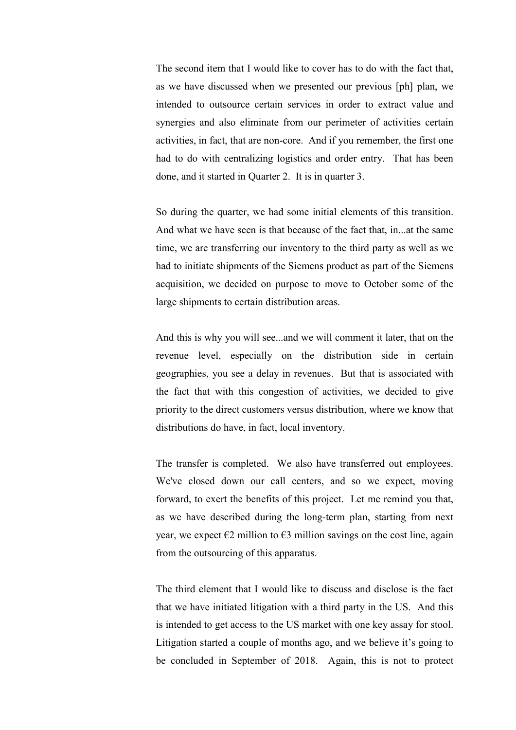The second item that I would like to cover has to do with the fact that, as we have discussed when we presented our previous [ph] plan, we intended to outsource certain services in order to extract value and synergies and also eliminate from our perimeter of activities certain activities, in fact, that are non-core. And if you remember, the first one had to do with centralizing logistics and order entry. That has been done, and it started in Quarter 2. It is in quarter 3.

 So during the quarter, we had some initial elements of this transition. And what we have seen is that because of the fact that, in...at the same time, we are transferring our inventory to the third party as well as we had to initiate shipments of the Siemens product as part of the Siemens acquisition, we decided on purpose to move to October some of the large shipments to certain distribution areas.

 And this is why you will see...and we will comment it later, that on the revenue level, especially on the distribution side in certain geographies, you see a delay in revenues. But that is associated with the fact that with this congestion of activities, we decided to give priority to the direct customers versus distribution, where we know that distributions do have, in fact, local inventory.

 The transfer is completed. We also have transferred out employees. We've closed down our call centers, and so we expect, moving forward, to exert the benefits of this project. Let me remind you that, as we have described during the long-term plan, starting from next year, we expect  $\epsilon$ 2 million to  $\epsilon$ 3 million savings on the cost line, again from the outsourcing of this apparatus.

 The third element that I would like to discuss and disclose is the fact that we have initiated litigation with a third party in the US. And this is intended to get access to the US market with one key assay for stool. Litigation started a couple of months ago, and we believe it's going to be concluded in September of 2018. Again, this is not to protect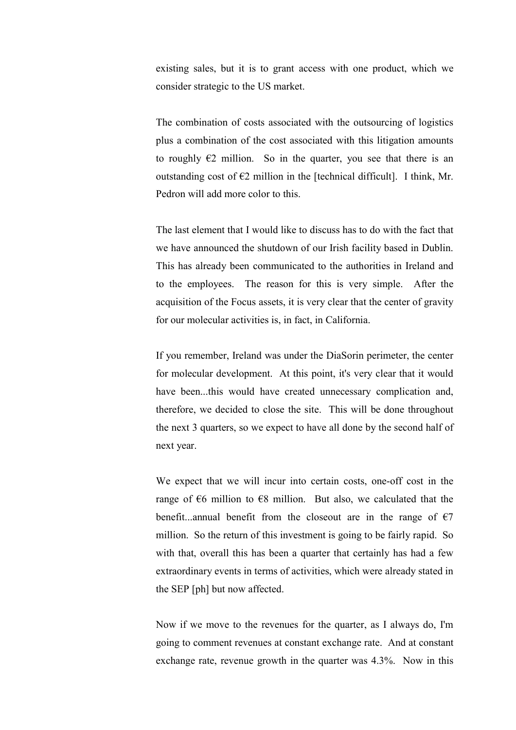existing sales, but it is to grant access with one product, which we consider strategic to the US market.

 The combination of costs associated with the outsourcing of logistics plus a combination of the cost associated with this litigation amounts to roughly  $E2$  million. So in the quarter, you see that there is an outstanding cost of  $\epsilon$ 2 million in the [technical difficult]. I think, Mr. Pedron will add more color to this.

 The last element that I would like to discuss has to do with the fact that we have announced the shutdown of our Irish facility based in Dublin. This has already been communicated to the authorities in Ireland and to the employees. The reason for this is very simple. After the acquisition of the Focus assets, it is very clear that the center of gravity for our molecular activities is, in fact, in California.

 If you remember, Ireland was under the DiaSorin perimeter, the center for molecular development. At this point, it's very clear that it would have been...this would have created unnecessary complication and, therefore, we decided to close the site. This will be done throughout the next 3 quarters, so we expect to have all done by the second half of next year.

 We expect that we will incur into certain costs, one-off cost in the range of  $\epsilon$ 6 million to  $\epsilon$ 8 million. But also, we calculated that the benefit...annual benefit from the closeout are in the range of  $\epsilon$ 7 million. So the return of this investment is going to be fairly rapid. So with that, overall this has been a quarter that certainly has had a few extraordinary events in terms of activities, which were already stated in the SEP [ph] but now affected.

 Now if we move to the revenues for the quarter, as I always do, I'm going to comment revenues at constant exchange rate. And at constant exchange rate, revenue growth in the quarter was 4.3%. Now in this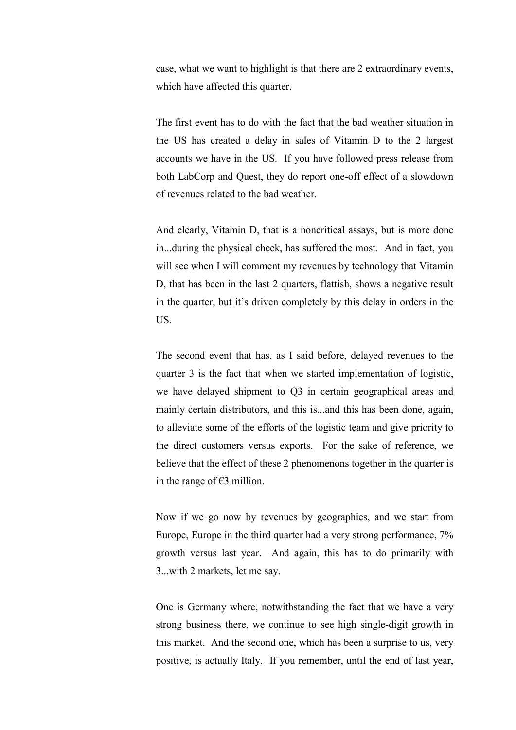case, what we want to highlight is that there are 2 extraordinary events, which have affected this quarter.

 The first event has to do with the fact that the bad weather situation in the US has created a delay in sales of Vitamin D to the 2 largest accounts we have in the US. If you have followed press release from both LabCorp and Quest, they do report one-off effect of a slowdown of revenues related to the bad weather.

 And clearly, Vitamin D, that is a noncritical assays, but is more done in...during the physical check, has suffered the most. And in fact, you will see when I will comment my revenues by technology that Vitamin D, that has been in the last 2 quarters, flattish, shows a negative result in the quarter, but it's driven completely by this delay in orders in the US.

 The second event that has, as I said before, delayed revenues to the quarter 3 is the fact that when we started implementation of logistic, we have delayed shipment to Q3 in certain geographical areas and mainly certain distributors, and this is...and this has been done, again, to alleviate some of the efforts of the logistic team and give priority to the direct customers versus exports. For the sake of reference, we believe that the effect of these 2 phenomenons together in the quarter is in the range of  $€3$  million.

 Now if we go now by revenues by geographies, and we start from Europe, Europe in the third quarter had a very strong performance, 7% growth versus last year. And again, this has to do primarily with 3...with 2 markets, let me say.

 One is Germany where, notwithstanding the fact that we have a very strong business there, we continue to see high single-digit growth in this market. And the second one, which has been a surprise to us, very positive, is actually Italy. If you remember, until the end of last year,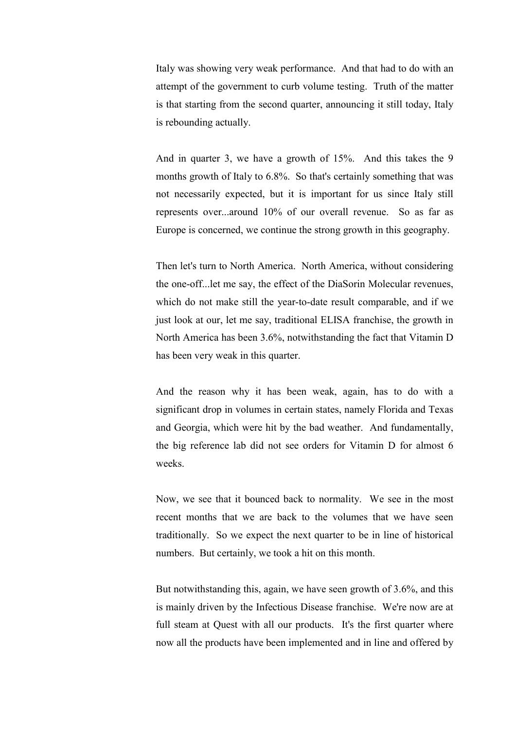Italy was showing very weak performance. And that had to do with an attempt of the government to curb volume testing. Truth of the matter is that starting from the second quarter, announcing it still today, Italy is rebounding actually.

 And in quarter 3, we have a growth of 15%. And this takes the 9 months growth of Italy to 6.8%. So that's certainly something that was not necessarily expected, but it is important for us since Italy still represents over...around 10% of our overall revenue. So as far as Europe is concerned, we continue the strong growth in this geography.

 Then let's turn to North America. North America, without considering the one-off...let me say, the effect of the DiaSorin Molecular revenues, which do not make still the year-to-date result comparable, and if we just look at our, let me say, traditional ELISA franchise, the growth in North America has been 3.6%, notwithstanding the fact that Vitamin D has been very weak in this quarter.

 And the reason why it has been weak, again, has to do with a significant drop in volumes in certain states, namely Florida and Texas and Georgia, which were hit by the bad weather. And fundamentally, the big reference lab did not see orders for Vitamin D for almost 6 weeks.

 Now, we see that it bounced back to normality. We see in the most recent months that we are back to the volumes that we have seen traditionally. So we expect the next quarter to be in line of historical numbers. But certainly, we took a hit on this month.

 But notwithstanding this, again, we have seen growth of 3.6%, and this is mainly driven by the Infectious Disease franchise. We're now are at full steam at Quest with all our products. It's the first quarter where now all the products have been implemented and in line and offered by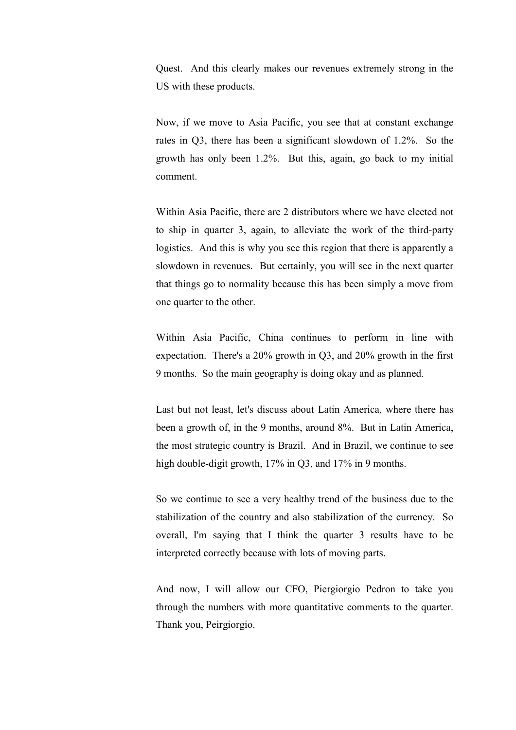Quest. And this clearly makes our revenues extremely strong in the US with these products.

 Now, if we move to Asia Pacific, you see that at constant exchange rates in Q3, there has been a significant slowdown of 1.2%. So the growth has only been 1.2%. But this, again, go back to my initial comment.

 Within Asia Pacific, there are 2 distributors where we have elected not to ship in quarter 3, again, to alleviate the work of the third-party logistics. And this is why you see this region that there is apparently a slowdown in revenues. But certainly, you will see in the next quarter that things go to normality because this has been simply a move from one quarter to the other.

 Within Asia Pacific, China continues to perform in line with expectation. There's a 20% growth in Q3, and 20% growth in the first 9 months. So the main geography is doing okay and as planned.

 Last but not least, let's discuss about Latin America, where there has been a growth of, in the 9 months, around 8%. But in Latin America, the most strategic country is Brazil. And in Brazil, we continue to see high double-digit growth, 17% in Q3, and 17% in 9 months.

 So we continue to see a very healthy trend of the business due to the stabilization of the country and also stabilization of the currency. So overall, I'm saying that I think the quarter 3 results have to be interpreted correctly because with lots of moving parts.

 And now, I will allow our CFO, Piergiorgio Pedron to take you through the numbers with more quantitative comments to the quarter. Thank you, Peirgiorgio.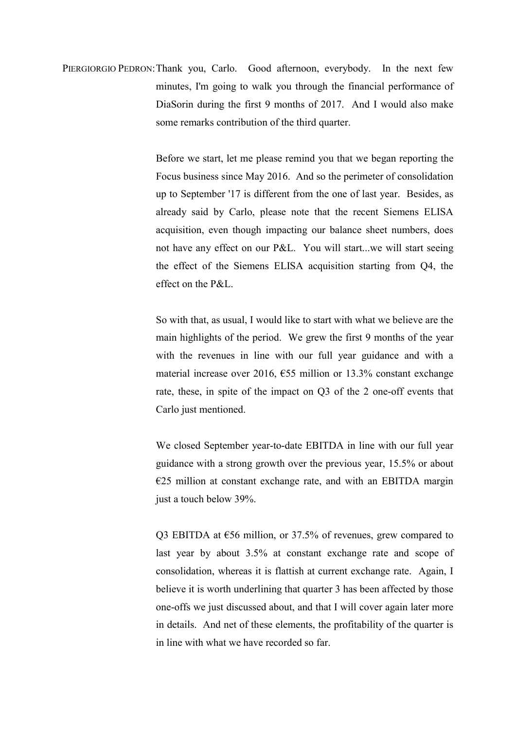PIERGIORGIO PEDRON: Thank you, Carlo. Good afternoon, everybody. In the next few minutes, I'm going to walk you through the financial performance of DiaSorin during the first 9 months of 2017. And I would also make some remarks contribution of the third quarter.

> Before we start, let me please remind you that we began reporting the Focus business since May 2016. And so the perimeter of consolidation up to September '17 is different from the one of last year. Besides, as already said by Carlo, please note that the recent Siemens ELISA acquisition, even though impacting our balance sheet numbers, does not have any effect on our P&L. You will start...we will start seeing the effect of the Siemens ELISA acquisition starting from Q4, the effect on the P&L.

> So with that, as usual, I would like to start with what we believe are the main highlights of the period. We grew the first 9 months of the year with the revenues in line with our full year guidance and with a material increase over 2016, €55 million or 13.3% constant exchange rate, these, in spite of the impact on Q3 of the 2 one-off events that Carlo just mentioned.

> We closed September year-to-date EBITDA in line with our full year guidance with a strong growth over the previous year, 15.5% or about  $E25$  million at constant exchange rate, and with an EBITDA margin just a touch below 39%.

> Q3 EBITDA at €56 million, or 37.5% of revenues, grew compared to last year by about 3.5% at constant exchange rate and scope of consolidation, whereas it is flattish at current exchange rate. Again, I believe it is worth underlining that quarter 3 has been affected by those one-offs we just discussed about, and that I will cover again later more in details. And net of these elements, the profitability of the quarter is in line with what we have recorded so far.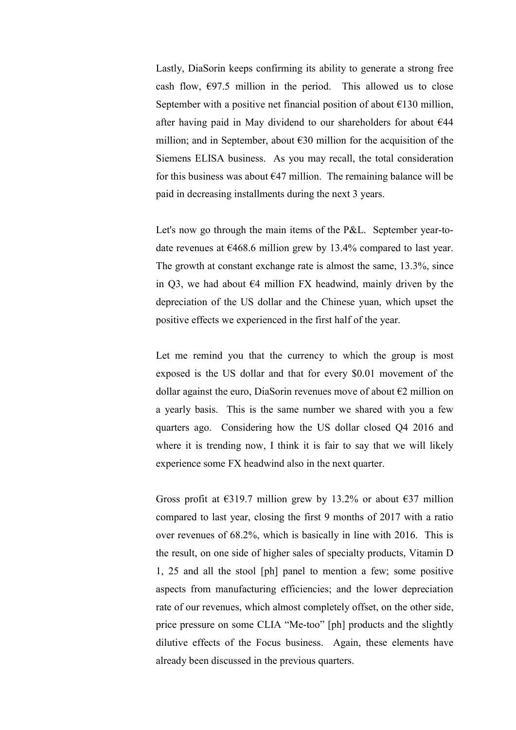Lastly, DiaSorin keeps confirming its ability to generate a strong free cash flow,  $\epsilon$ 97.5 million in the period. This allowed us to close September with a positive net financial position of about  $\epsilon$ 130 million, after having paid in May dividend to our shareholders for about  $644$ million; and in September, about  $E30$  million for the acquisition of the Siemens ELISA business. As you may recall, the total consideration for this business was about  $\epsilon$ 47 million. The remaining balance will be paid in decreasing installments during the next 3 years.

 Let's now go through the main items of the P&L. September year-todate revenues at  $\epsilon$ 468.6 million grew by 13.4% compared to last year. The growth at constant exchange rate is almost the same, 13.3%, since in Q3, we had about  $\epsilon$ 4 million FX headwind, mainly driven by the depreciation of the US dollar and the Chinese yuan, which upset the positive effects we experienced in the first half of the year.

 Let me remind you that the currency to which the group is most exposed is the US dollar and that for every \$0.01 movement of the dollar against the euro, DiaSorin revenues move of about  $\epsilon$ 2 million on a yearly basis. This is the same number we shared with you a few quarters ago. Considering how the US dollar closed Q4 2016 and where it is trending now, I think it is fair to say that we will likely experience some FX headwind also in the next quarter.

Gross profit at  $\epsilon$ 319.7 million grew by 13.2% or about  $\epsilon$ 37 million compared to last year, closing the first 9 months of 2017 with a ratio over revenues of 68.2%, which is basically in line with 2016. This is the result, on one side of higher sales of specialty products, Vitamin D 1, 25 and all the stool [ph] panel to mention a few; some positive aspects from manufacturing efficiencies; and the lower depreciation rate of our revenues, which almost completely offset, on the other side, price pressure on some CLIA "Me-too" [ph] products and the slightly dilutive effects of the Focus business. Again, these elements have already been discussed in the previous quarters.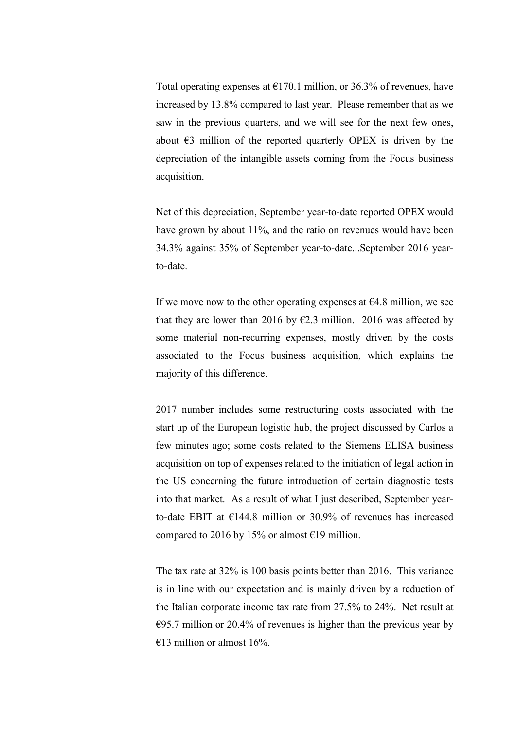Total operating expenses at  $\epsilon$ 170.1 million, or 36.3% of revenues, have increased by 13.8% compared to last year. Please remember that as we saw in the previous quarters, and we will see for the next few ones, about  $\epsilon$ 3 million of the reported quarterly OPEX is driven by the depreciation of the intangible assets coming from the Focus business acquisition.

 Net of this depreciation, September year-to-date reported OPEX would have grown by about 11%, and the ratio on revenues would have been 34.3% against 35% of September year-to-date...September 2016 yearto-date.

If we move now to the other operating expenses at  $64.8$  million, we see that they are lower than 2016 by  $\epsilon$ 2.3 million. 2016 was affected by some material non-recurring expenses, mostly driven by the costs associated to the Focus business acquisition, which explains the majority of this difference.

 2017 number includes some restructuring costs associated with the start up of the European logistic hub, the project discussed by Carlos a few minutes ago; some costs related to the Siemens ELISA business acquisition on top of expenses related to the initiation of legal action in the US concerning the future introduction of certain diagnostic tests into that market. As a result of what I just described, September yearto-date EBIT at €144.8 million or 30.9% of revenues has increased compared to 2016 by 15% or almost  $E$ 19 million.

 The tax rate at 32% is 100 basis points better than 2016. This variance is in line with our expectation and is mainly driven by a reduction of the Italian corporate income tax rate from 27.5% to 24%. Net result at  $\epsilon$ 95.7 million or 20.4% of revenues is higher than the previous year by  $€13$  million or almost 16%.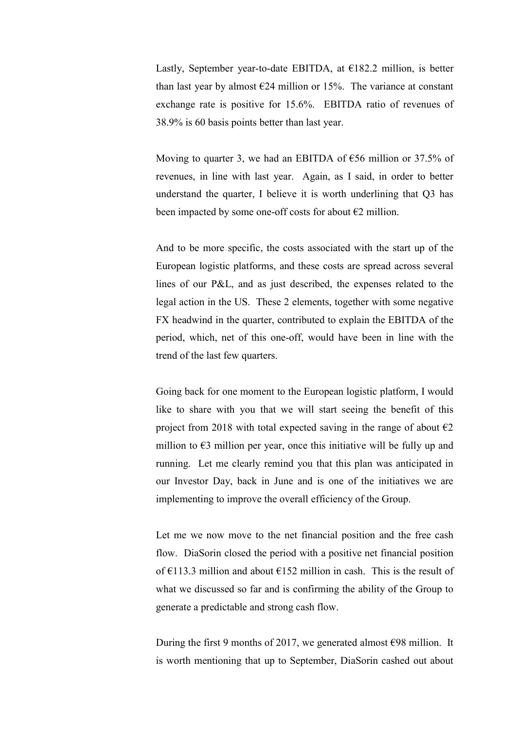Lastly, September year-to-date EBITDA, at  $E$ 182.2 million, is better than last year by almost  $\epsilon$ 24 million or 15%. The variance at constant exchange rate is positive for 15.6%. EBITDA ratio of revenues of 38.9% is 60 basis points better than last year.

Moving to quarter 3, we had an EBITDA of  $\epsilon$ 56 million or 37.5% of revenues, in line with last year. Again, as I said, in order to better understand the quarter, I believe it is worth underlining that Q3 has been impacted by some one-off costs for about  $\epsilon$ 2 million.

 And to be more specific, the costs associated with the start up of the European logistic platforms, and these costs are spread across several lines of our P&L, and as just described, the expenses related to the legal action in the US. These 2 elements, together with some negative FX headwind in the quarter, contributed to explain the EBITDA of the period, which, net of this one-off, would have been in line with the trend of the last few quarters.

 Going back for one moment to the European logistic platform, I would like to share with you that we will start seeing the benefit of this project from 2018 with total expected saving in the range of about  $\epsilon$ 2 million to  $\epsilon$ 3 million per year, once this initiative will be fully up and running. Let me clearly remind you that this plan was anticipated in our Investor Day, back in June and is one of the initiatives we are implementing to improve the overall efficiency of the Group.

 Let me we now move to the net financial position and the free cash flow. DiaSorin closed the period with a positive net financial position of  $\epsilon$ 113.3 million and about  $\epsilon$ 152 million in cash. This is the result of what we discussed so far and is confirming the ability of the Group to generate a predictable and strong cash flow.

During the first 9 months of 2017, we generated almost  $\epsilon$ 98 million. It is worth mentioning that up to September, DiaSorin cashed out about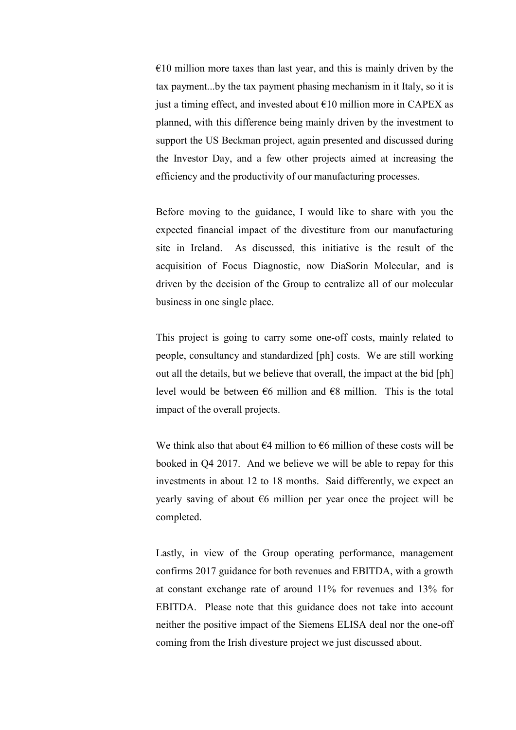$€10$  million more taxes than last year, and this is mainly driven by the tax payment...by the tax payment phasing mechanism in it Italy, so it is just a timing effect, and invested about  $\epsilon$ 10 million more in CAPEX as planned, with this difference being mainly driven by the investment to support the US Beckman project, again presented and discussed during the Investor Day, and a few other projects aimed at increasing the efficiency and the productivity of our manufacturing processes.

 Before moving to the guidance, I would like to share with you the expected financial impact of the divestiture from our manufacturing site in Ireland. As discussed, this initiative is the result of the acquisition of Focus Diagnostic, now DiaSorin Molecular, and is driven by the decision of the Group to centralize all of our molecular business in one single place.

 This project is going to carry some one-off costs, mainly related to people, consultancy and standardized [ph] costs. We are still working out all the details, but we believe that overall, the impact at the bid [ph] level would be between  $\epsilon$ 6 million and  $\epsilon$ 8 million. This is the total impact of the overall projects.

We think also that about  $64$  million to  $66$  million of these costs will be booked in Q4 2017. And we believe we will be able to repay for this investments in about 12 to 18 months. Said differently, we expect an yearly saving of about  $\epsilon$ 6 million per year once the project will be completed.

 Lastly, in view of the Group operating performance, management confirms 2017 guidance for both revenues and EBITDA, with a growth at constant exchange rate of around 11% for revenues and 13% for EBITDA. Please note that this guidance does not take into account neither the positive impact of the Siemens ELISA deal nor the one-off coming from the Irish divesture project we just discussed about.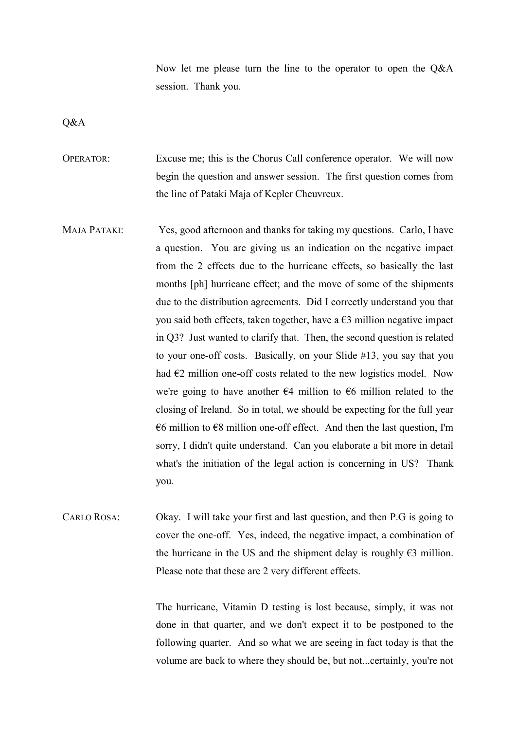Now let me please turn the line to the operator to open the Q&A session. Thank you.

Q&A

OPERATOR: Excuse me; this is the Chorus Call conference operator. We will now begin the question and answer session. The first question comes from the line of Pataki Maja of Kepler Cheuvreux.

- MAJA PATAKI: Yes, good afternoon and thanks for taking my questions. Carlo, I have a question. You are giving us an indication on the negative impact from the 2 effects due to the hurricane effects, so basically the last months [ph] hurricane effect; and the move of some of the shipments due to the distribution agreements. Did I correctly understand you that you said both effects, taken together, have a  $\epsilon$ 3 million negative impact in Q3? Just wanted to clarify that. Then, the second question is related to your one-off costs. Basically, on your Slide #13, you say that you had  $E2$  million one-off costs related to the new logistics model. Now we're going to have another  $\epsilon$ 4 million to  $\epsilon$ 6 million related to the closing of Ireland. So in total, we should be expecting for the full year  $\epsilon$ 6 million to  $\epsilon$ 8 million one-off effect. And then the last question, I'm sorry, I didn't quite understand. Can you elaborate a bit more in detail what's the initiation of the legal action is concerning in US? Thank you.
- CARLO ROSA: Okay. I will take your first and last question, and then P.G is going to cover the one-off. Yes, indeed, the negative impact, a combination of the hurricane in the US and the shipment delay is roughly  $\epsilon$ 3 million. Please note that these are 2 very different effects.

 The hurricane, Vitamin D testing is lost because, simply, it was not done in that quarter, and we don't expect it to be postponed to the following quarter. And so what we are seeing in fact today is that the volume are back to where they should be, but not...certainly, you're not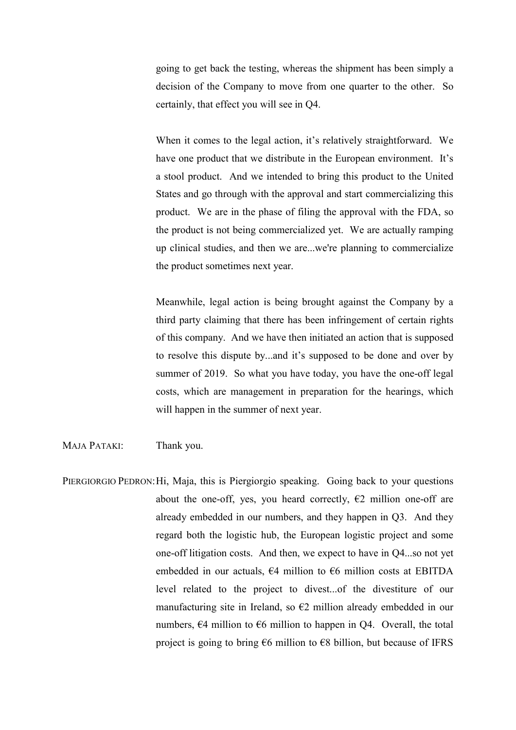going to get back the testing, whereas the shipment has been simply a decision of the Company to move from one quarter to the other. So certainly, that effect you will see in Q4.

 When it comes to the legal action, it's relatively straightforward. We have one product that we distribute in the European environment. It's a stool product. And we intended to bring this product to the United States and go through with the approval and start commercializing this product. We are in the phase of filing the approval with the FDA, so the product is not being commercialized yet. We are actually ramping up clinical studies, and then we are...we're planning to commercialize the product sometimes next year.

 Meanwhile, legal action is being brought against the Company by a third party claiming that there has been infringement of certain rights of this company. And we have then initiated an action that is supposed to resolve this dispute by...and it's supposed to be done and over by summer of 2019. So what you have today, you have the one-off legal costs, which are management in preparation for the hearings, which will happen in the summer of next year.

MAJA PATAKI: Thank you.

PIERGIORGIO PEDRON: Hi, Maja, this is Piergiorgio speaking. Going back to your questions about the one-off, yes, you heard correctly,  $\epsilon$ 2 million one-off are already embedded in our numbers, and they happen in Q3. And they regard both the logistic hub, the European logistic project and some one-off litigation costs. And then, we expect to have in Q4...so not yet embedded in our actuals,  $\epsilon$ 4 million to  $\epsilon$ 6 million costs at EBITDA level related to the project to divest...of the divestiture of our manufacturing site in Ireland, so  $\epsilon$ 2 million already embedded in our numbers,  $\epsilon$ 4 million to  $\epsilon$ 6 million to happen in Q4. Overall, the total project is going to bring  $66$  million to  $68$  billion, but because of IFRS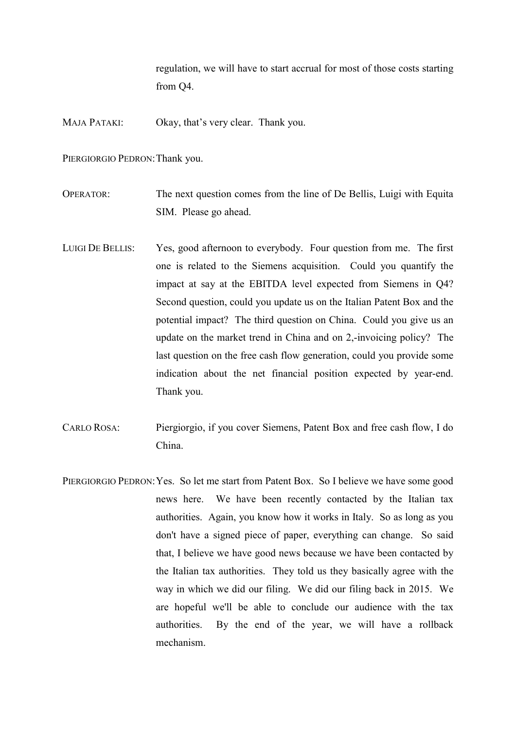regulation, we will have to start accrual for most of those costs starting from Q4.

MAJA PATAKI: Okay, that's very clear. Thank you.

PIERGIORGIO PEDRON: Thank you.

OPERATOR: The next question comes from the line of De Bellis, Luigi with Equita SIM. Please go ahead.

- LUIGI DE BELLIS: Yes, good afternoon to everybody. Four question from me. The first one is related to the Siemens acquisition. Could you quantify the impact at say at the EBITDA level expected from Siemens in Q4? Second question, could you update us on the Italian Patent Box and the potential impact? The third question on China. Could you give us an update on the market trend in China and on 2,-invoicing policy? The last question on the free cash flow generation, could you provide some indication about the net financial position expected by year-end. Thank you.
- CARLO ROSA: Piergiorgio, if you cover Siemens, Patent Box and free cash flow, I do China.
- PIERGIORGIO PEDRON: Yes. So let me start from Patent Box. So I believe we have some good news here. We have been recently contacted by the Italian tax authorities. Again, you know how it works in Italy. So as long as you don't have a signed piece of paper, everything can change. So said that, I believe we have good news because we have been contacted by the Italian tax authorities. They told us they basically agree with the way in which we did our filing. We did our filing back in 2015. We are hopeful we'll be able to conclude our audience with the tax authorities. By the end of the year, we will have a rollback mechanism.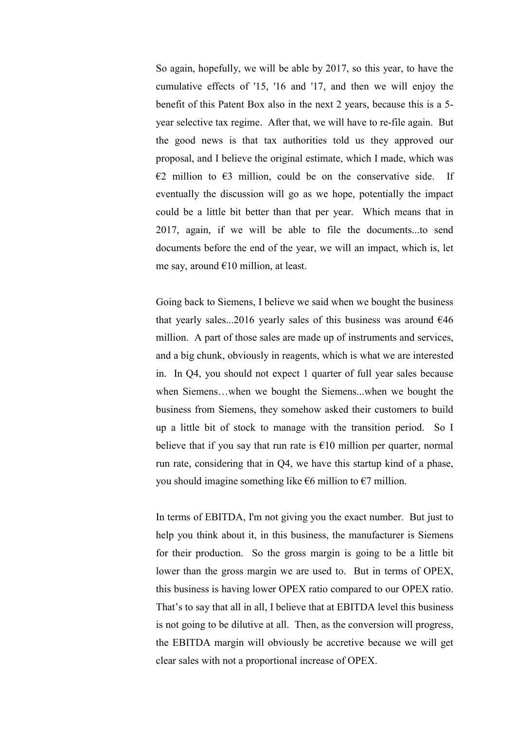So again, hopefully, we will be able by 2017, so this year, to have the cumulative effects of '15, '16 and '17, and then we will enjoy the benefit of this Patent Box also in the next 2 years, because this is a 5 year selective tax regime. After that, we will have to re-file again. But the good news is that tax authorities told us they approved our proposal, and I believe the original estimate, which I made, which was  $\epsilon$ 2 million to  $\epsilon$ 3 million, could be on the conservative side. If eventually the discussion will go as we hope, potentially the impact could be a little bit better than that per year. Which means that in 2017, again, if we will be able to file the documents...to send documents before the end of the year, we will an impact, which is, let me say, around  $E10$  million, at least.

 Going back to Siemens, I believe we said when we bought the business that yearly sales...2016 yearly sales of this business was around  $646$ million. A part of those sales are made up of instruments and services, and a big chunk, obviously in reagents, which is what we are interested in. In Q4, you should not expect 1 quarter of full year sales because when Siemens…when we bought the Siemens...when we bought the business from Siemens, they somehow asked their customers to build up a little bit of stock to manage with the transition period. So I believe that if you say that run rate is  $\epsilon$ 10 million per quarter, normal run rate, considering that in Q4, we have this startup kind of a phase, you should imagine something like  $\epsilon$ 6 million to  $\epsilon$ 7 million.

 In terms of EBITDA, I'm not giving you the exact number. But just to help you think about it, in this business, the manufacturer is Siemens for their production. So the gross margin is going to be a little bit lower than the gross margin we are used to. But in terms of OPEX, this business is having lower OPEX ratio compared to our OPEX ratio. That's to say that all in all, I believe that at EBITDA level this business is not going to be dilutive at all. Then, as the conversion will progress, the EBITDA margin will obviously be accretive because we will get clear sales with not a proportional increase of OPEX.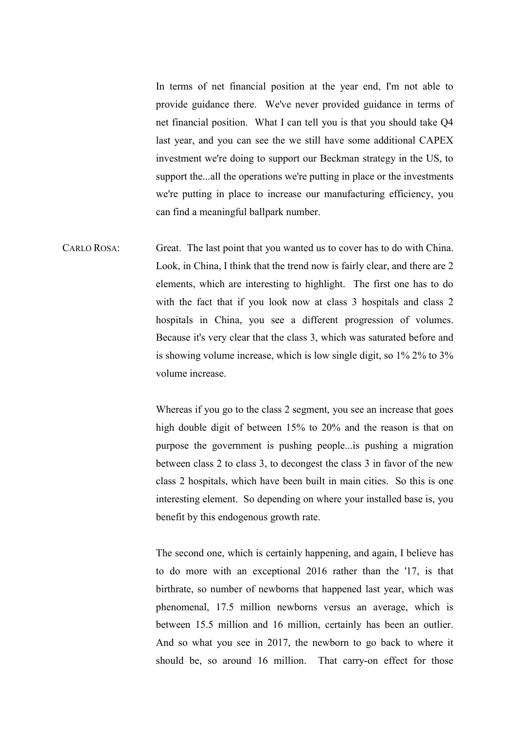In terms of net financial position at the year end, I'm not able to provide guidance there. We've never provided guidance in terms of net financial position. What I can tell you is that you should take Q4 last year, and you can see the we still have some additional CAPEX investment we're doing to support our Beckman strategy in the US, to support the...all the operations we're putting in place or the investments we're putting in place to increase our manufacturing efficiency, you can find a meaningful ballpark number.

CARLO ROSA: Great. The last point that you wanted us to cover has to do with China. Look, in China, I think that the trend now is fairly clear, and there are 2 elements, which are interesting to highlight. The first one has to do with the fact that if you look now at class 3 hospitals and class 2 hospitals in China, you see a different progression of volumes. Because it's very clear that the class 3, which was saturated before and is showing volume increase, which is low single digit, so 1% 2% to 3% volume increase.

> Whereas if you go to the class 2 segment, you see an increase that goes high double digit of between 15% to 20% and the reason is that on purpose the government is pushing people...is pushing a migration between class 2 to class 3, to decongest the class 3 in favor of the new class 2 hospitals, which have been built in main cities. So this is one interesting element. So depending on where your installed base is, you benefit by this endogenous growth rate.

> The second one, which is certainly happening, and again, I believe has to do more with an exceptional 2016 rather than the '17, is that birthrate, so number of newborns that happened last year, which was phenomenal, 17.5 million newborns versus an average, which is between 15.5 million and 16 million, certainly has been an outlier. And so what you see in 2017, the newborn to go back to where it should be, so around 16 million. That carry-on effect for those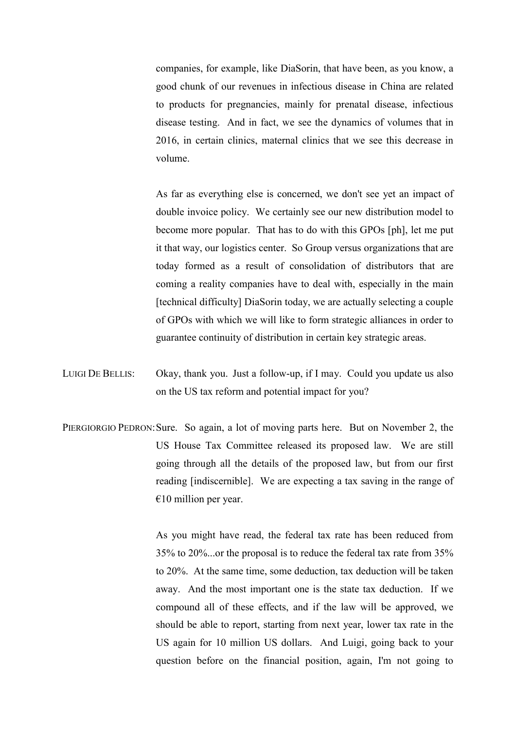companies, for example, like DiaSorin, that have been, as you know, a good chunk of our revenues in infectious disease in China are related to products for pregnancies, mainly for prenatal disease, infectious disease testing. And in fact, we see the dynamics of volumes that in 2016, in certain clinics, maternal clinics that we see this decrease in volume.

 As far as everything else is concerned, we don't see yet an impact of double invoice policy. We certainly see our new distribution model to become more popular. That has to do with this GPOs [ph], let me put it that way, our logistics center. So Group versus organizations that are today formed as a result of consolidation of distributors that are coming a reality companies have to deal with, especially in the main [technical difficulty] DiaSorin today, we are actually selecting a couple of GPOs with which we will like to form strategic alliances in order to guarantee continuity of distribution in certain key strategic areas.

- LUIGI DE BELLIS: Okay, thank you. Just a follow-up, if I may. Could you update us also on the US tax reform and potential impact for you?
- PIERGIORGIO PEDRON: Sure. So again, a lot of moving parts here. But on November 2, the US House Tax Committee released its proposed law. We are still going through all the details of the proposed law, but from our first reading [indiscernible]. We are expecting a tax saving in the range of  $€10$  million per year.

 As you might have read, the federal tax rate has been reduced from 35% to 20%...or the proposal is to reduce the federal tax rate from 35% to 20%. At the same time, some deduction, tax deduction will be taken away. And the most important one is the state tax deduction. If we compound all of these effects, and if the law will be approved, we should be able to report, starting from next year, lower tax rate in the US again for 10 million US dollars. And Luigi, going back to your question before on the financial position, again, I'm not going to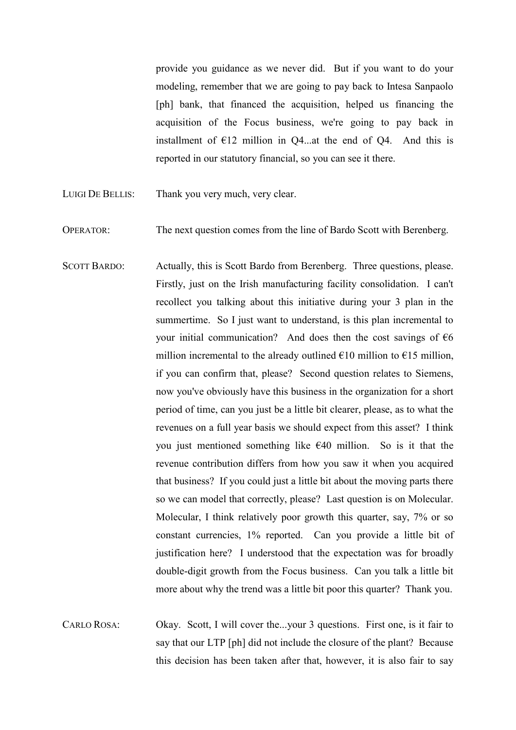provide you guidance as we never did. But if you want to do your modeling, remember that we are going to pay back to Intesa Sanpaolo [ph] bank, that financed the acquisition, helped us financing the acquisition of the Focus business, we're going to pay back in installment of  $E12$  million in Q4...at the end of Q4. And this is reported in our statutory financial, so you can see it there.

- LUIGI DE BELLIS: Thank you very much, very clear.
- OPERATOR: The next question comes from the line of Bardo Scott with Berenberg.
- SCOTT BARDO: Actually, this is Scott Bardo from Berenberg. Three questions, please. Firstly, just on the Irish manufacturing facility consolidation. I can't recollect you talking about this initiative during your 3 plan in the summertime. So I just want to understand, is this plan incremental to your initial communication? And does then the cost savings of  $\epsilon$ 6 million incremental to the already outlined  $\epsilon$ 10 million to  $\epsilon$ 15 million, if you can confirm that, please? Second question relates to Siemens, now you've obviously have this business in the organization for a short period of time, can you just be a little bit clearer, please, as to what the revenues on a full year basis we should expect from this asset? I think you just mentioned something like  $E(40)$  million. So is it that the revenue contribution differs from how you saw it when you acquired that business? If you could just a little bit about the moving parts there so we can model that correctly, please? Last question is on Molecular. Molecular, I think relatively poor growth this quarter, say, 7% or so constant currencies, 1% reported. Can you provide a little bit of justification here? I understood that the expectation was for broadly double-digit growth from the Focus business. Can you talk a little bit more about why the trend was a little bit poor this quarter? Thank you.
- CARLO ROSA: Okay. Scott, I will cover the...your 3 questions. First one, is it fair to say that our LTP [ph] did not include the closure of the plant? Because this decision has been taken after that, however, it is also fair to say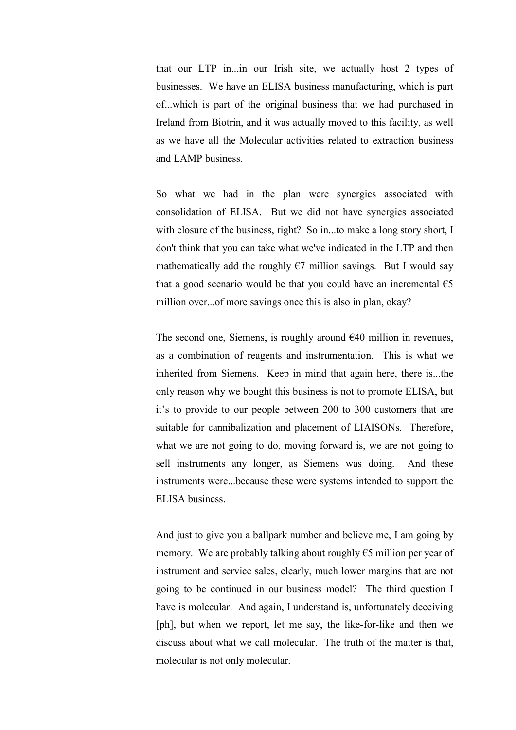that our LTP in...in our Irish site, we actually host 2 types of businesses. We have an ELISA business manufacturing, which is part of...which is part of the original business that we had purchased in Ireland from Biotrin, and it was actually moved to this facility, as well as we have all the Molecular activities related to extraction business and LAMP business.

 So what we had in the plan were synergies associated with consolidation of ELISA. But we did not have synergies associated with closure of the business, right? So in...to make a long story short, I don't think that you can take what we've indicated in the LTP and then mathematically add the roughly  $\epsilon$ 7 million savings. But I would say that a good scenario would be that you could have an incremental  $\epsilon$ 5 million over...of more savings once this is also in plan, okay?

The second one, Siemens, is roughly around  $E$ 40 million in revenues, as a combination of reagents and instrumentation. This is what we inherited from Siemens. Keep in mind that again here, there is...the only reason why we bought this business is not to promote ELISA, but it's to provide to our people between 200 to 300 customers that are suitable for cannibalization and placement of LIAISONs. Therefore, what we are not going to do, moving forward is, we are not going to sell instruments any longer, as Siemens was doing. And these instruments were...because these were systems intended to support the ELISA business.

 And just to give you a ballpark number and believe me, I am going by memory. We are probably talking about roughly  $\epsilon$ 5 million per year of instrument and service sales, clearly, much lower margins that are not going to be continued in our business model? The third question I have is molecular. And again, I understand is, unfortunately deceiving [ph], but when we report, let me say, the like-for-like and then we discuss about what we call molecular. The truth of the matter is that, molecular is not only molecular.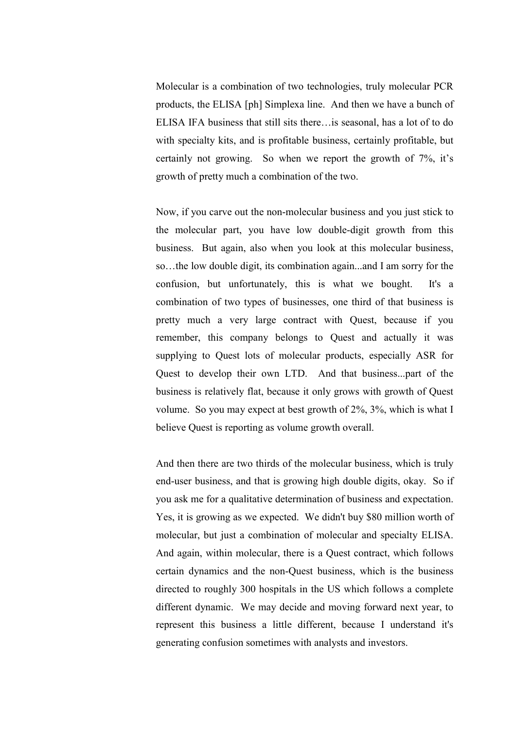Molecular is a combination of two technologies, truly molecular PCR products, the ELISA [ph] Simplexa line. And then we have a bunch of ELISA IFA business that still sits there…is seasonal, has a lot of to do with specialty kits, and is profitable business, certainly profitable, but certainly not growing. So when we report the growth of 7%, it's growth of pretty much a combination of the two.

 Now, if you carve out the non-molecular business and you just stick to the molecular part, you have low double-digit growth from this business. But again, also when you look at this molecular business, so…the low double digit, its combination again...and I am sorry for the confusion, but unfortunately, this is what we bought. It's a combination of two types of businesses, one third of that business is pretty much a very large contract with Quest, because if you remember, this company belongs to Quest and actually it was supplying to Quest lots of molecular products, especially ASR for Quest to develop their own LTD. And that business...part of the business is relatively flat, because it only grows with growth of Quest volume. So you may expect at best growth of 2%, 3%, which is what I believe Quest is reporting as volume growth overall.

 And then there are two thirds of the molecular business, which is truly end-user business, and that is growing high double digits, okay. So if you ask me for a qualitative determination of business and expectation. Yes, it is growing as we expected. We didn't buy \$80 million worth of molecular, but just a combination of molecular and specialty ELISA. And again, within molecular, there is a Quest contract, which follows certain dynamics and the non-Quest business, which is the business directed to roughly 300 hospitals in the US which follows a complete different dynamic. We may decide and moving forward next year, to represent this business a little different, because I understand it's generating confusion sometimes with analysts and investors.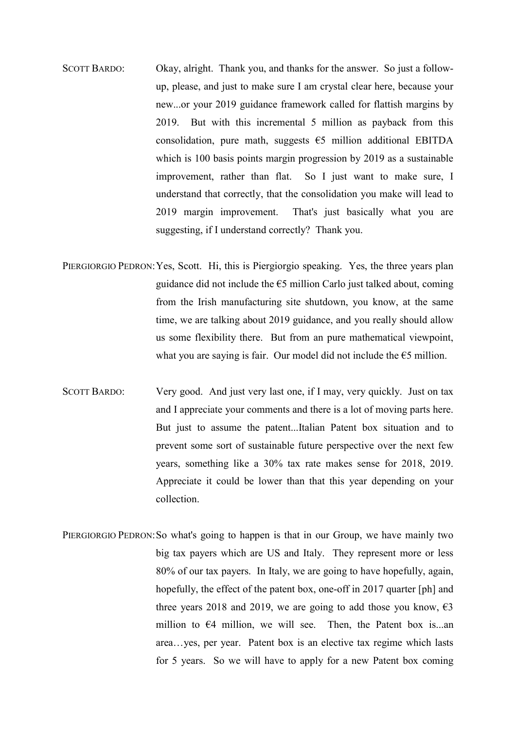- SCOTT BARDO: Okay, alright. Thank you, and thanks for the answer. So just a followup, please, and just to make sure I am crystal clear here, because your new...or your 2019 guidance framework called for flattish margins by 2019. But with this incremental 5 million as payback from this consolidation, pure math, suggests  $\epsilon$ 5 million additional EBITDA which is 100 basis points margin progression by 2019 as a sustainable improvement, rather than flat. So I just want to make sure, I understand that correctly, that the consolidation you make will lead to 2019 margin improvement. That's just basically what you are suggesting, if I understand correctly? Thank you.
- PIERGIORGIO PEDRON: Yes, Scott. Hi, this is Piergiorgio speaking. Yes, the three years plan guidance did not include the  $\epsilon$ 5 million Carlo just talked about, coming from the Irish manufacturing site shutdown, you know, at the same time, we are talking about 2019 guidance, and you really should allow us some flexibility there. But from an pure mathematical viewpoint, what you are saying is fair. Our model did not include the  $\epsilon$ 5 million.
- SCOTT BARDO: Very good. And just very last one, if I may, very quickly. Just on tax and I appreciate your comments and there is a lot of moving parts here. But just to assume the patent...Italian Patent box situation and to prevent some sort of sustainable future perspective over the next few years, something like a 30% tax rate makes sense for 2018, 2019. Appreciate it could be lower than that this year depending on your collection.
- PIERGIORGIO PEDRON: So what's going to happen is that in our Group, we have mainly two big tax payers which are US and Italy. They represent more or less 80% of our tax payers. In Italy, we are going to have hopefully, again, hopefully, the effect of the patent box, one-off in 2017 quarter [ph] and three years 2018 and 2019, we are going to add those you know,  $\epsilon$ 3 million to  $\epsilon$ 4 million, we will see. Then, the Patent box is...an area…yes, per year. Patent box is an elective tax regime which lasts for 5 years. So we will have to apply for a new Patent box coming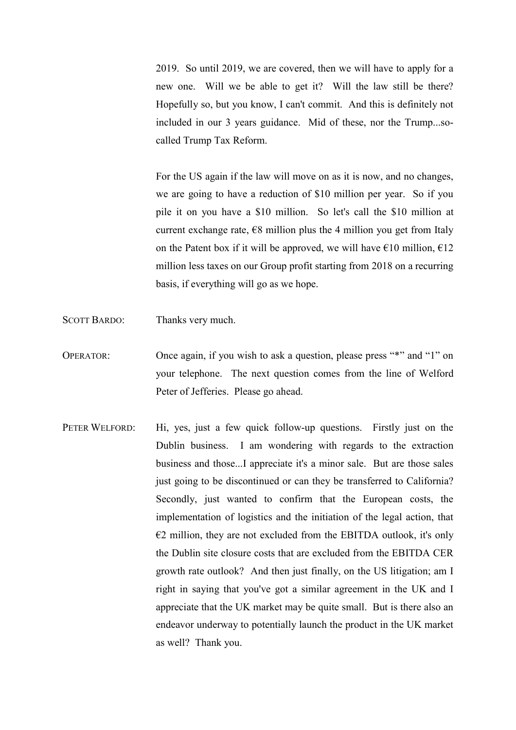2019. So until 2019, we are covered, then we will have to apply for a new one. Will we be able to get it? Will the law still be there? Hopefully so, but you know, I can't commit. And this is definitely not included in our 3 years guidance. Mid of these, nor the Trump...socalled Trump Tax Reform.

 For the US again if the law will move on as it is now, and no changes, we are going to have a reduction of \$10 million per year. So if you pile it on you have a \$10 million. So let's call the \$10 million at current exchange rate,  $\epsilon$ 8 million plus the 4 million you get from Italy on the Patent box if it will be approved, we will have  $\epsilon$ 10 million,  $\epsilon$ 12 million less taxes on our Group profit starting from 2018 on a recurring basis, if everything will go as we hope.

- SCOTT BARDO: Thanks very much.
- OPERATOR: Once again, if you wish to ask a question, please press "\*" and "1" on your telephone. The next question comes from the line of Welford Peter of Jefferies. Please go ahead.
- PETER WELFORD: Hi, yes, just a few quick follow-up questions. Firstly just on the Dublin business. I am wondering with regards to the extraction business and those...I appreciate it's a minor sale. But are those sales just going to be discontinued or can they be transferred to California? Secondly, just wanted to confirm that the European costs, the implementation of logistics and the initiation of the legal action, that  $E2$  million, they are not excluded from the EBITDA outlook, it's only the Dublin site closure costs that are excluded from the EBITDA CER growth rate outlook? And then just finally, on the US litigation; am I right in saying that you've got a similar agreement in the UK and I appreciate that the UK market may be quite small. But is there also an endeavor underway to potentially launch the product in the UK market as well? Thank you.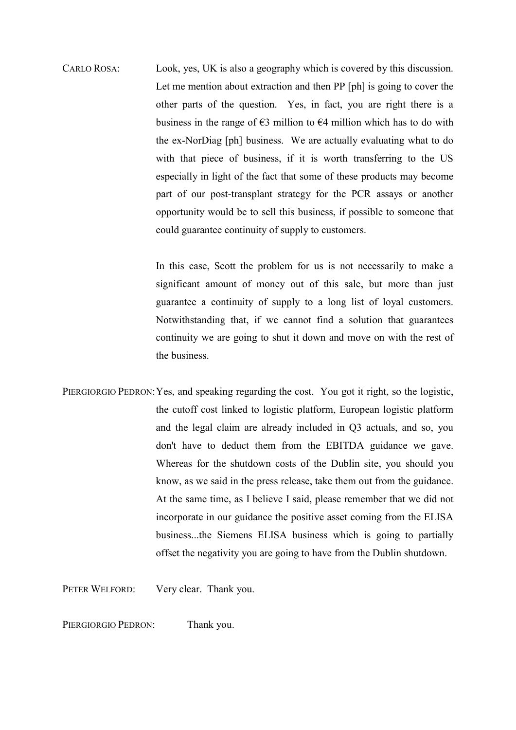CARLO ROSA: Look, yes, UK is also a geography which is covered by this discussion. Let me mention about extraction and then PP [ph] is going to cover the other parts of the question. Yes, in fact, you are right there is a business in the range of  $\epsilon$ 3 million to  $\epsilon$ 4 million which has to do with the ex-NorDiag [ph] business. We are actually evaluating what to do with that piece of business, if it is worth transferring to the US especially in light of the fact that some of these products may become part of our post-transplant strategy for the PCR assays or another opportunity would be to sell this business, if possible to someone that could guarantee continuity of supply to customers.

> In this case, Scott the problem for us is not necessarily to make a significant amount of money out of this sale, but more than just guarantee a continuity of supply to a long list of loyal customers. Notwithstanding that, if we cannot find a solution that guarantees continuity we are going to shut it down and move on with the rest of the business.

PIERGIORGIO PEDRON: Yes, and speaking regarding the cost. You got it right, so the logistic, the cutoff cost linked to logistic platform, European logistic platform and the legal claim are already included in Q3 actuals, and so, you don't have to deduct them from the EBITDA guidance we gave. Whereas for the shutdown costs of the Dublin site, you should you know, as we said in the press release, take them out from the guidance. At the same time, as I believe I said, please remember that we did not incorporate in our guidance the positive asset coming from the ELISA business...the Siemens ELISA business which is going to partially offset the negativity you are going to have from the Dublin shutdown.

PETER WELFORD: Very clear. Thank you.

PIERGIORGIO PEDRON: Thank you.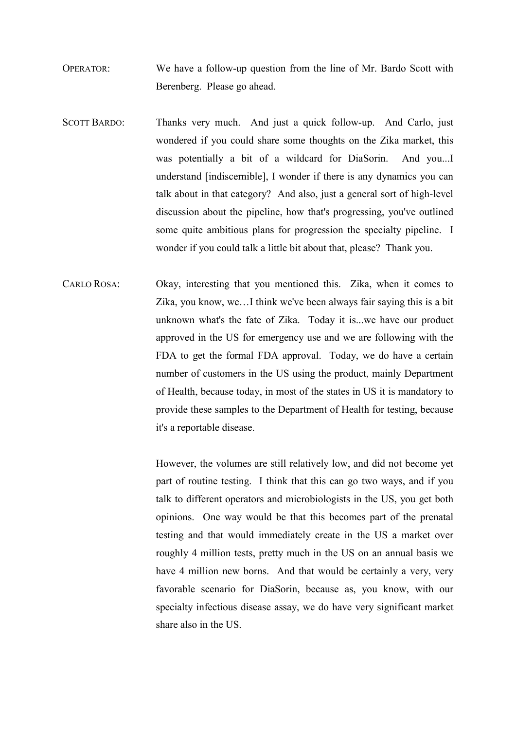OPERATOR: We have a follow-up question from the line of Mr. Bardo Scott with Berenberg. Please go ahead.

- SCOTT BARDO: Thanks very much. And just a quick follow-up. And Carlo, just wondered if you could share some thoughts on the Zika market, this was potentially a bit of a wildcard for DiaSorin. And you...I understand [indiscernible], I wonder if there is any dynamics you can talk about in that category? And also, just a general sort of high-level discussion about the pipeline, how that's progressing, you've outlined some quite ambitious plans for progression the specialty pipeline. I wonder if you could talk a little bit about that, please? Thank you.
- CARLO ROSA: Okay, interesting that you mentioned this. Zika, when it comes to Zika, you know, we…I think we've been always fair saying this is a bit unknown what's the fate of Zika. Today it is...we have our product approved in the US for emergency use and we are following with the FDA to get the formal FDA approval. Today, we do have a certain number of customers in the US using the product, mainly Department of Health, because today, in most of the states in US it is mandatory to provide these samples to the Department of Health for testing, because it's a reportable disease.

 However, the volumes are still relatively low, and did not become yet part of routine testing. I think that this can go two ways, and if you talk to different operators and microbiologists in the US, you get both opinions. One way would be that this becomes part of the prenatal testing and that would immediately create in the US a market over roughly 4 million tests, pretty much in the US on an annual basis we have 4 million new borns. And that would be certainly a very, very favorable scenario for DiaSorin, because as, you know, with our specialty infectious disease assay, we do have very significant market share also in the US.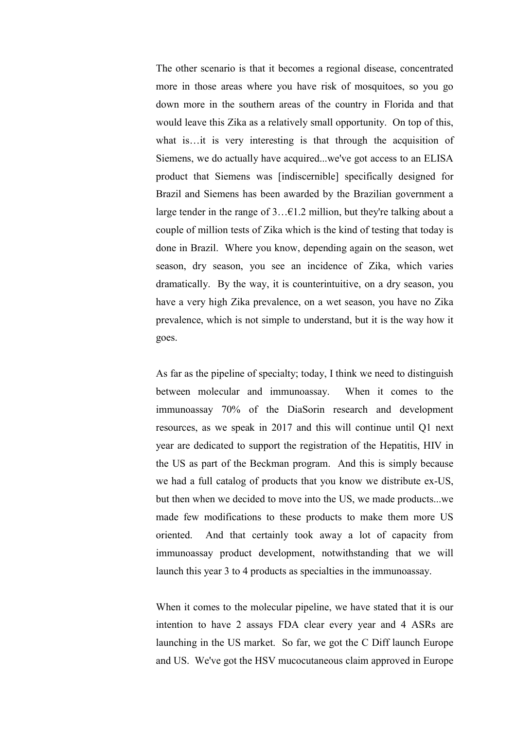The other scenario is that it becomes a regional disease, concentrated more in those areas where you have risk of mosquitoes, so you go down more in the southern areas of the country in Florida and that would leave this Zika as a relatively small opportunity. On top of this, what is…it is very interesting is that through the acquisition of Siemens, we do actually have acquired...we've got access to an ELISA product that Siemens was [indiscernible] specifically designed for Brazil and Siemens has been awarded by the Brazilian government a large tender in the range of 3…€1.2 million, but they're talking about a couple of million tests of Zika which is the kind of testing that today is done in Brazil. Where you know, depending again on the season, wet season, dry season, you see an incidence of Zika, which varies dramatically. By the way, it is counterintuitive, on a dry season, you have a very high Zika prevalence, on a wet season, you have no Zika prevalence, which is not simple to understand, but it is the way how it goes.

 As far as the pipeline of specialty; today, I think we need to distinguish between molecular and immunoassay. When it comes to the immunoassay 70% of the DiaSorin research and development resources, as we speak in 2017 and this will continue until Q1 next year are dedicated to support the registration of the Hepatitis, HIV in the US as part of the Beckman program. And this is simply because we had a full catalog of products that you know we distribute ex-US, but then when we decided to move into the US, we made products...we made few modifications to these products to make them more US oriented. And that certainly took away a lot of capacity from immunoassay product development, notwithstanding that we will launch this year 3 to 4 products as specialties in the immunoassay.

 When it comes to the molecular pipeline, we have stated that it is our intention to have 2 assays FDA clear every year and 4 ASRs are launching in the US market. So far, we got the C Diff launch Europe and US. We've got the HSV mucocutaneous claim approved in Europe